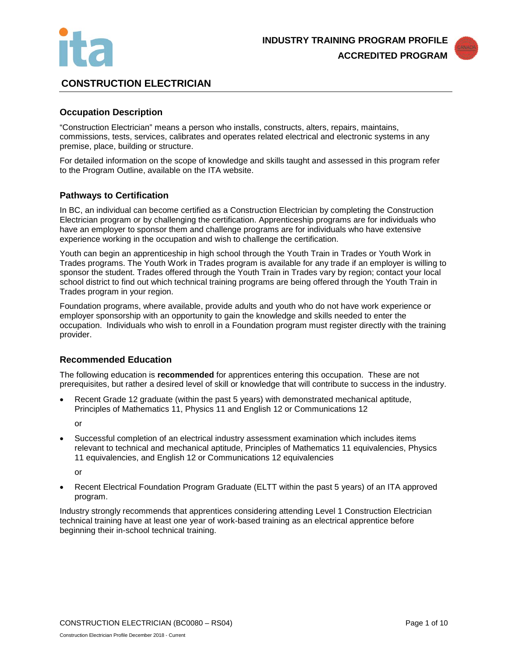



# **CONSTRUCTION ELECTRICIAN**

# **Occupation Description**

"Construction Electrician" means a person who installs, constructs, alters, repairs, maintains, commissions, tests, services, calibrates and operates related electrical and electronic systems in any premise, place, building or structure.

For detailed information on the scope of knowledge and skills taught and assessed in this program refer to the Program Outline, available on the ITA website.

### **Pathways to Certification**

In BC, an individual can become certified as a Construction Electrician by completing the Construction Electrician program or by challenging the certification. Apprenticeship programs are for individuals who have an employer to sponsor them and challenge programs are for individuals who have extensive experience working in the occupation and wish to challenge the certification.

Youth can begin an apprenticeship in high school through the Youth Train in Trades or Youth Work in Trades programs. The Youth Work in Trades program is available for any trade if an employer is willing to sponsor the student. Trades offered through the Youth Train in Trades vary by region; contact your local school district to find out which technical training programs are being offered through the Youth Train in Trades program in your region.

Foundation programs, where available, provide adults and youth who do not have work experience or employer sponsorship with an opportunity to gain the knowledge and skills needed to enter the occupation. Individuals who wish to enroll in a Foundation program must register directly with the training provider.

### **Recommended Education**

The following education is **recommended** for apprentices entering this occupation. These are not prerequisites, but rather a desired level of skill or knowledge that will contribute to success in the industry.

• Recent Grade 12 graduate (within the past 5 years) with demonstrated mechanical aptitude, Principles of Mathematics 11, Physics 11 and English 12 or Communications 12

or

• Successful completion of an electrical industry assessment examination which includes items relevant to technical and mechanical aptitude, Principles of Mathematics 11 equivalencies, Physics 11 equivalencies, and English 12 or Communications 12 equivalencies

or

• Recent Electrical Foundation Program Graduate (ELTT within the past 5 years) of an ITA approved program.

Industry strongly recommends that apprentices considering attending Level 1 Construction Electrician technical training have at least one year of work-based training as an electrical apprentice before beginning their in-school technical training.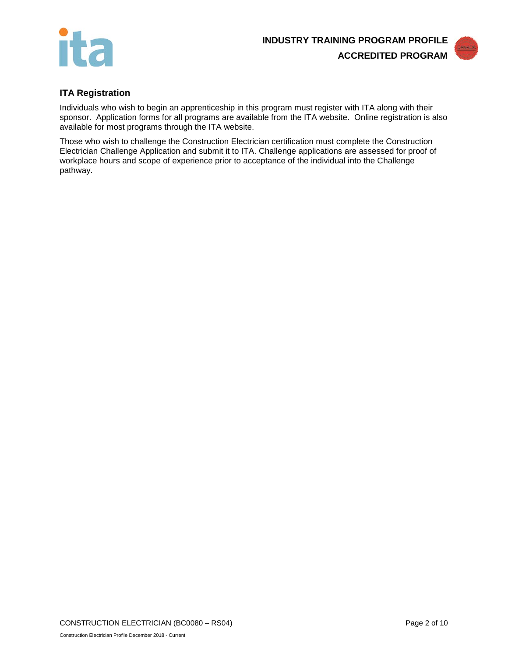



# **ITA Registration**

Individuals who wish to begin an apprenticeship in this program must register with ITA along with their sponsor. Application forms for all programs are available from the ITA website. Online registration is also available for most programs through the ITA website.

Those who wish to challenge the Construction Electrician certification must complete the Construction Electrician Challenge Application and submit it to ITA. Challenge applications are assessed for proof of workplace hours and scope of experience prior to acceptance of the individual into the Challenge pathway.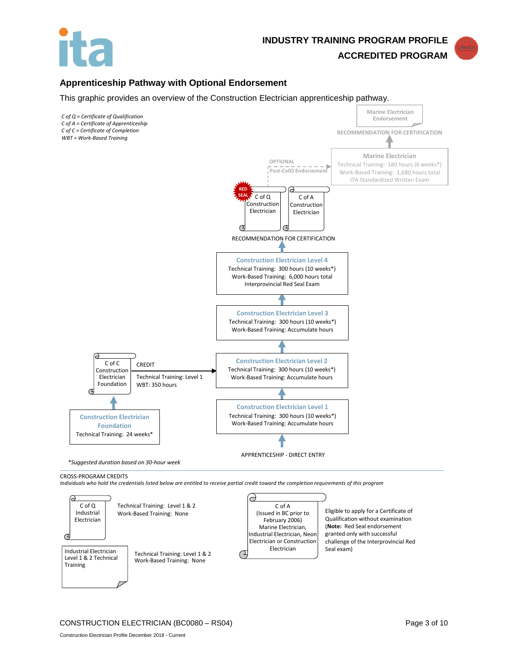

**ACCREDITED PROGRAM**

## **Apprenticeship Pathway with Optional Endorsement**

This graphic provides an overview of the Construction Electrician apprenticeship pathway.



Technical Training: Level 1 & 2 Work-Based Training: None

Industrial Electrician Level 1 & 2 Technical

Training

 $\sigma$ 

(**Note:** Red Seal endorsement granted only with successful challenge of the Interprovincial Red

Seal exam)

Marine Electrician, Industrial Electrician, Neon Electrician or Construction Electrician

◯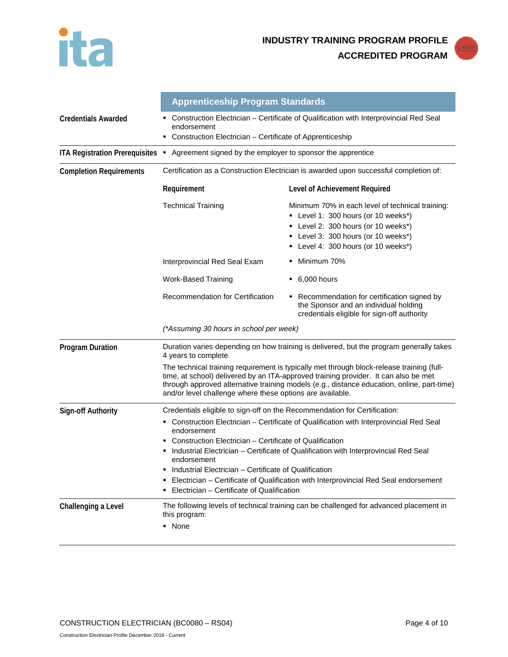



|                                       | <b>Apprenticeship Program Standards</b>                                                                                                                                                                                                                                                                                                                                                                                                                              |                                                                                                                                                                                                              |  |
|---------------------------------------|----------------------------------------------------------------------------------------------------------------------------------------------------------------------------------------------------------------------------------------------------------------------------------------------------------------------------------------------------------------------------------------------------------------------------------------------------------------------|--------------------------------------------------------------------------------------------------------------------------------------------------------------------------------------------------------------|--|
| <b>Credentials Awarded</b>            | Construction Electrician - Certificate of Qualification with Interprovincial Red Seal<br>endorsement<br>Construction Electrician - Certificate of Apprenticeship<br>٠                                                                                                                                                                                                                                                                                                |                                                                                                                                                                                                              |  |
| <b>ITA Registration Prerequisites</b> | Agreement signed by the employer to sponsor the apprentice<br>٠                                                                                                                                                                                                                                                                                                                                                                                                      |                                                                                                                                                                                                              |  |
| <b>Completion Requirements</b>        | Certification as a Construction Electrician is awarded upon successful completion of:                                                                                                                                                                                                                                                                                                                                                                                |                                                                                                                                                                                                              |  |
|                                       | Requirement                                                                                                                                                                                                                                                                                                                                                                                                                                                          | Level of Achievement Required                                                                                                                                                                                |  |
|                                       | <b>Technical Training</b>                                                                                                                                                                                                                                                                                                                                                                                                                                            | Minimum 70% in each level of technical training:<br>• Level 1: 300 hours (or 10 weeks*)<br>• Level 2: 300 hours (or 10 weeks*)<br>• Level 3: 300 hours (or 10 weeks*)<br>• Level 4: 300 hours (or 10 weeks*) |  |
|                                       | Interprovincial Red Seal Exam                                                                                                                                                                                                                                                                                                                                                                                                                                        | Minimum 70%                                                                                                                                                                                                  |  |
|                                       | <b>Work-Based Training</b>                                                                                                                                                                                                                                                                                                                                                                                                                                           | 6,000 hours<br>٠                                                                                                                                                                                             |  |
|                                       | <b>Recommendation for Certification</b>                                                                                                                                                                                                                                                                                                                                                                                                                              | • Recommendation for certification signed by<br>the Sponsor and an individual holding<br>credentials eligible for sign-off authority                                                                         |  |
|                                       | (*Assuming 30 hours in school per week)                                                                                                                                                                                                                                                                                                                                                                                                                              |                                                                                                                                                                                                              |  |
| <b>Program Duration</b>               | Duration varies depending on how training is delivered, but the program generally takes<br>4 years to complete.                                                                                                                                                                                                                                                                                                                                                      |                                                                                                                                                                                                              |  |
|                                       | The technical training requirement is typically met through block-release training (full-<br>time, at school) delivered by an ITA-approved training provider. It can also be met<br>through approved alternative training models (e.g., distance education, online, part-time)<br>and/or level challenge where these options are available.                                                                                                                          |                                                                                                                                                                                                              |  |
| <b>Sign-off Authority</b>             | Credentials eligible to sign-off on the Recommendation for Certification:                                                                                                                                                                                                                                                                                                                                                                                            |                                                                                                                                                                                                              |  |
|                                       | Construction Electrician - Certificate of Qualification with Interprovincial Red Seal<br>endorsement<br>Construction Electrician – Certificate of Qualification<br>Industrial Electrician – Certificate of Qualification with Interprovincial Red Seal<br>endorsement<br>Industrial Electrician - Certificate of Qualification<br>Electrician - Certificate of Qualification with Interprovincial Red Seal endorsement<br>Electrician - Certificate of Qualification |                                                                                                                                                                                                              |  |
| Challenging a Level                   | The following levels of technical training can be challenged for advanced placement in<br>this program:<br>• None                                                                                                                                                                                                                                                                                                                                                    |                                                                                                                                                                                                              |  |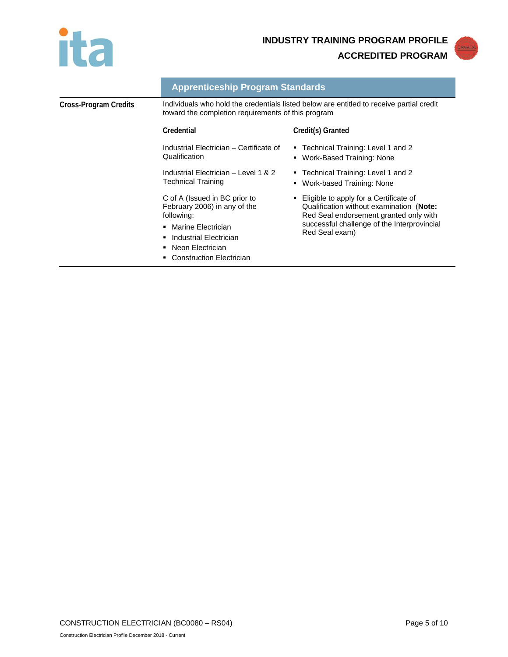



|                       | <b>Apprenticeship Program Standards</b>                                                                                                        |                                                                                                                                |
|-----------------------|------------------------------------------------------------------------------------------------------------------------------------------------|--------------------------------------------------------------------------------------------------------------------------------|
| Cross-Program Credits | Individuals who hold the credentials listed below are entitled to receive partial credit<br>toward the completion requirements of this program |                                                                                                                                |
|                       | Credential                                                                                                                                     | Credit(s) Granted                                                                                                              |
|                       | Industrial Electrician - Certificate of<br>Qualification                                                                                       | ■ Technical Training: Level 1 and 2<br>Work-Based Training: None<br>٠                                                          |
|                       | Industrial Electrician - Level 1 & 2<br>Technical Training                                                                                     | ■ Technical Training: Level 1 and 2<br>Work-based Training: None<br>٠                                                          |
|                       | C of A (Issued in BC prior to<br>February 2006) in any of the<br>following:                                                                    | • Eligible to apply for a Certificate of<br>Qualification without examination (Note:<br>Red Seal endorsement granted only with |
|                       | Marine Electrician<br>۰.<br>Industrial Electrician<br>Neon Electrician<br><b>Construction Electrician</b>                                      | successful challenge of the Interprovincial<br>Red Seal exam)                                                                  |
|                       |                                                                                                                                                |                                                                                                                                |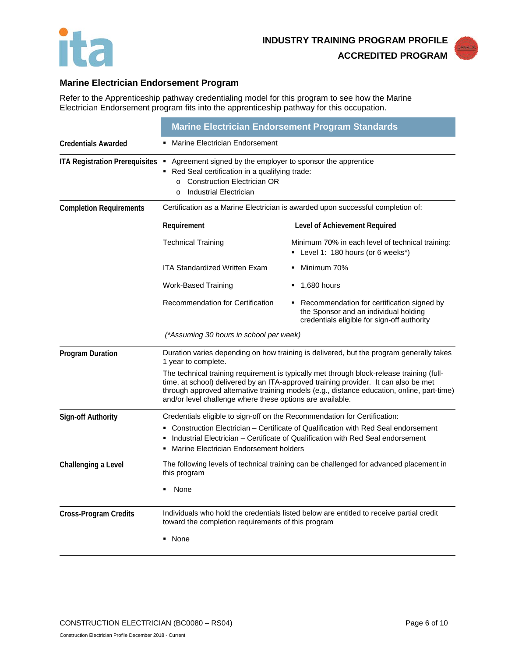



# **Marine Electrician Endorsement Program**

Refer to the Apprenticeship pathway credentialing model for this program to see how the Marine Electrician Endorsement program fits into the apprenticeship pathway for this occupation.

|                                  | <b>Marine Electrician Endorsement Program Standards</b>                                                                                                                                                                                                                                                                                     |                                                                                                                                      |
|----------------------------------|---------------------------------------------------------------------------------------------------------------------------------------------------------------------------------------------------------------------------------------------------------------------------------------------------------------------------------------------|--------------------------------------------------------------------------------------------------------------------------------------|
| <b>Credentials Awarded</b>       | Marine Electrician Endorsement                                                                                                                                                                                                                                                                                                              |                                                                                                                                      |
| ITA Registration Prerequisites . | Agreement signed by the employer to sponsor the apprentice<br>Red Seal certification in a qualifying trade:<br><b>Construction Electrician OR</b><br>$\circ$<br>Industrial Electrician<br>$\Omega$                                                                                                                                          |                                                                                                                                      |
| <b>Completion Requirements</b>   | Certification as a Marine Electrician is awarded upon successful completion of:                                                                                                                                                                                                                                                             |                                                                                                                                      |
|                                  | Requirement                                                                                                                                                                                                                                                                                                                                 | Level of Achievement Required                                                                                                        |
|                                  | <b>Technical Training</b>                                                                                                                                                                                                                                                                                                                   | Minimum 70% in each level of technical training:<br>Level 1: 180 hours (or 6 weeks*)                                                 |
|                                  | <b>ITA Standardized Written Exam</b>                                                                                                                                                                                                                                                                                                        | Minimum 70%                                                                                                                          |
|                                  | Work-Based Training                                                                                                                                                                                                                                                                                                                         | 1,680 hours                                                                                                                          |
|                                  | Recommendation for Certification                                                                                                                                                                                                                                                                                                            | • Recommendation for certification signed by<br>the Sponsor and an individual holding<br>credentials eligible for sign-off authority |
|                                  | (*Assuming 30 hours in school per week)                                                                                                                                                                                                                                                                                                     |                                                                                                                                      |
| <b>Program Duration</b>          | Duration varies depending on how training is delivered, but the program generally takes<br>1 year to complete.                                                                                                                                                                                                                              |                                                                                                                                      |
|                                  | The technical training requirement is typically met through block-release training (full-<br>time, at school) delivered by an ITA-approved training provider. It can also be met<br>through approved alternative training models (e.g., distance education, online, part-time)<br>and/or level challenge where these options are available. |                                                                                                                                      |
| <b>Sign-off Authority</b>        | Credentials eligible to sign-off on the Recommendation for Certification:                                                                                                                                                                                                                                                                   |                                                                                                                                      |
|                                  | Construction Electrician – Certificate of Qualification with Red Seal endorsement<br>Industrial Electrician – Certificate of Qualification with Red Seal endorsement<br>Marine Electrician Endorsement holders                                                                                                                              |                                                                                                                                      |
| Challenging a Level              | this program                                                                                                                                                                                                                                                                                                                                | The following levels of technical training can be challenged for advanced placement in                                               |
|                                  | None                                                                                                                                                                                                                                                                                                                                        |                                                                                                                                      |
| <b>Cross-Program Credits</b>     | Individuals who hold the credentials listed below are entitled to receive partial credit<br>toward the completion requirements of this program<br>• None                                                                                                                                                                                    |                                                                                                                                      |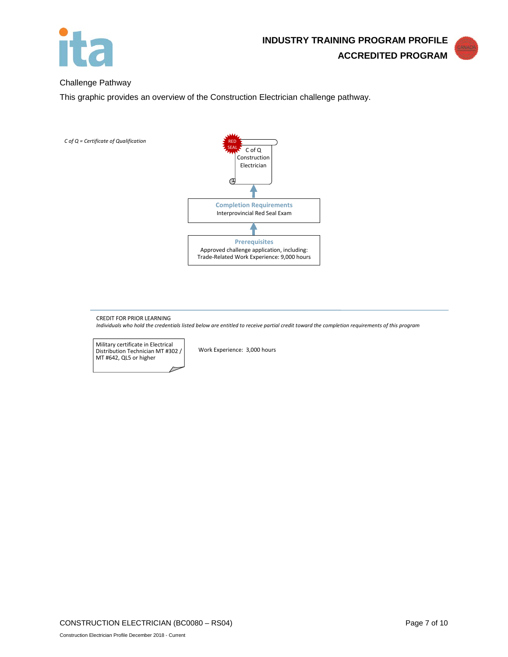

#### Challenge Pathway

This graphic provides an overview of the Construction Electrician challenge pathway.



CREDIT FOR PRIOR LEARNING *Individuals who hold the credentials listed below are entitled to receive partial credit toward the completion requirements of this program*

Military certificate in Electrical Distribution Technician MT #302 / MT #642, QL5 or higher

Work Experience: 3,000 hours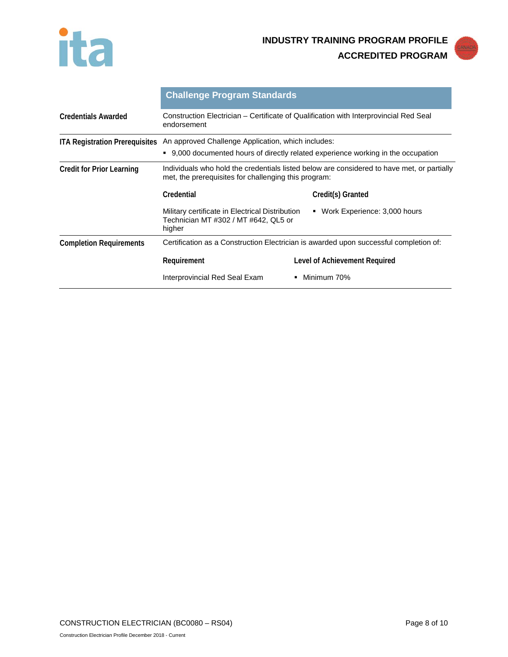



|                                       | <b>Challenge Program Standards</b>                                                                                                                 |                                |
|---------------------------------------|----------------------------------------------------------------------------------------------------------------------------------------------------|--------------------------------|
| <b>Credentials Awarded</b>            | Construction Electrician – Certificate of Qualification with Interprovincial Red Seal<br>endorsement                                               |                                |
| <b>ITA Registration Prerequisites</b> | An approved Challenge Application, which includes:                                                                                                 |                                |
|                                       | 9,000 documented hours of directly related experience working in the occupation                                                                    |                                |
| <b>Credit for Prior Learning</b>      | Individuals who hold the credentials listed below are considered to have met, or partially<br>met, the prerequisites for challenging this program: |                                |
|                                       | Credential                                                                                                                                         | Credit(s) Granted              |
|                                       | Military certificate in Electrical Distribution<br>Technician MT #302 / MT #642, QL5 or<br>higher                                                  | • Work Experience: 3,000 hours |
| <b>Completion Requirements</b>        | Certification as a Construction Electrician is awarded upon successful completion of:                                                              |                                |
|                                       | Requirement                                                                                                                                        | Level of Achievement Required  |
|                                       | Interprovincial Red Seal Exam                                                                                                                      | Minimum 70%<br>٠               |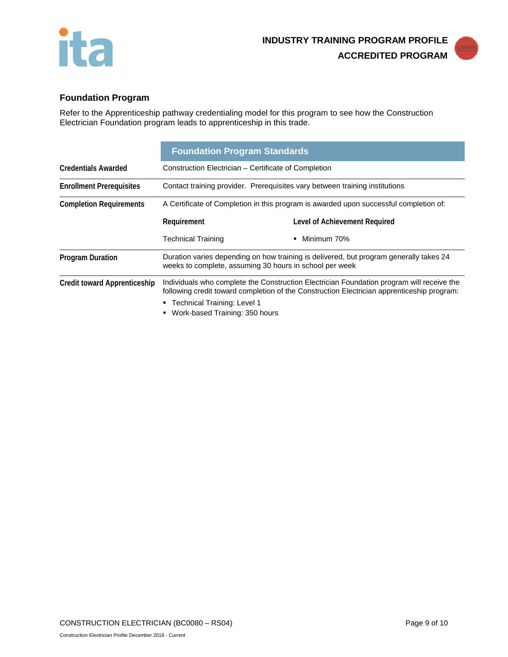



Refer to the Apprenticeship pathway credentialing model for this program to see how the Construction Electrician Foundation program leads to apprenticeship in this trade.

|                                     | <b>Foundation Program Standards</b>                                                                                                               |                                                                                                                                                                                         |
|-------------------------------------|---------------------------------------------------------------------------------------------------------------------------------------------------|-----------------------------------------------------------------------------------------------------------------------------------------------------------------------------------------|
| <b>Credentials Awarded</b>          | Construction Electrician - Certificate of Completion                                                                                              |                                                                                                                                                                                         |
| <b>Enrollment Prerequisites</b>     | Contact training provider. Prerequisites vary between training institutions                                                                       |                                                                                                                                                                                         |
| <b>Completion Requirements</b>      | A Certificate of Completion in this program is awarded upon successful completion of:                                                             |                                                                                                                                                                                         |
|                                     | Requirement                                                                                                                                       | Level of Achievement Required                                                                                                                                                           |
|                                     | <b>Technical Training</b>                                                                                                                         | Minimum 70%<br>٠                                                                                                                                                                        |
| <b>Program Duration</b>             | Duration varies depending on how training is delivered, but program generally takes 24<br>weeks to complete, assuming 30 hours in school per week |                                                                                                                                                                                         |
| <b>Credit toward Apprenticeship</b> |                                                                                                                                                   | Individuals who complete the Construction Electrician Foundation program will receive the<br>following credit toward completion of the Construction Electrician apprenticeship program: |
|                                     | ■ Technical Training: Level 1                                                                                                                     |                                                                                                                                                                                         |
|                                     | Work-based Training: 350 hours                                                                                                                    |                                                                                                                                                                                         |